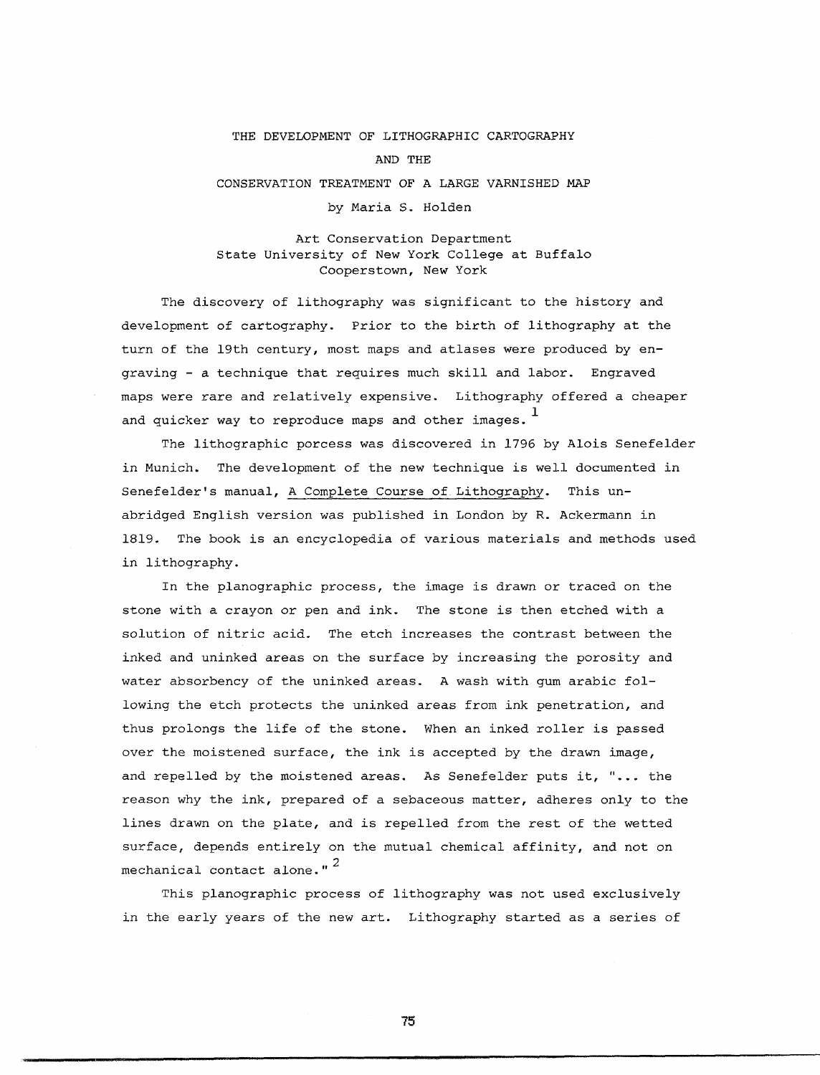## THE DEVELOPMENT OF LITHOGRAPHIC CARTOGRAPHY

## AND THE

CONSERVATION TREATMENT OF A LARGE VARNISHED MAP

by Maria S. Holden

## Art Conservation Department State University of New York College at Buffalo Cooperstown, New York

The discovery of lithography was significant to the history and development of cartography. Prior to the birth of lithography at the turn of the 19th century, most maps and atlases were produced by engraving - a technique that requires much skill and labor. Engraved maps were rare and relatively expensive. Lithography offered a cheaper and quicker way to reproduce maps and other images.  $<sup>1</sup>$ </sup>

The lithographic porcess was discovered *in* 1796 by Alois Senefelder *in* Munich. The development of the new technique is well documented *in*  Senefelder's manual, A Complete Course of Lithography. This unabridged English version was published *in* London by R. Ackermann *in*  1819. The book is an encyclopedia of various materials and methods used *in* lithography.

In the planographic process, the image is drawn or traced on the stone with a crayon or pen and ink. The stone is then etched with a solution of nitric acid. The etch increases the contrast between the inked and uninked areas on the surface by increasing the porosity and water absorbency of the uninked areas. A wash with gum arabic following the etch protects the uninked areas from ink penetration, and thus prolongs the life of the stone. When an inked roller is passed over the moistened surface, the ink is accepted by the drawn image, and repelled by the moistened areas. As Senefelder puts it, "... the reason why the ink, prepared of a sebaceous matter, adheres only to the lines drawn on the plate, and is repelled from the rest of the wetted surface, depends entirely on the mutual chemical affinity, and not on mechanical contact alone."<sup>2</sup>

This planographic process of lithography was not used exclusively in the early years of the new art. Lithography started as a series of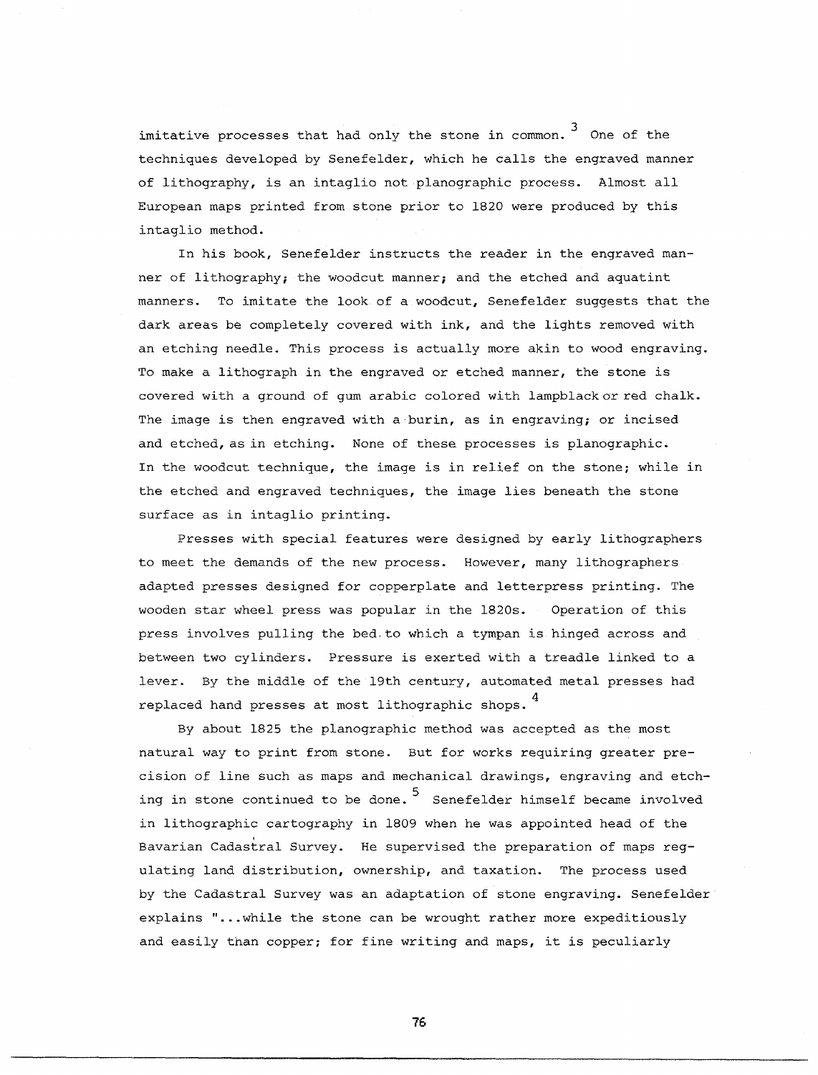imitative processes that had only the stone in common.  $^3$  One of the techniques developed by Senefelder, which he calls the engraved manner of lithography, is an intaglio not planographic process. Almost all European maps printed from stone prior to 1820 were produced by this intaglio method.

In his book, Senefelder instructs the reader in the engraved manner of lithography; the woodcut manner; and the etched and aquatint manners. To imitate the look of a woodcut, Senefelder suggests that the dark areas be completely covered with ink, and the lights removed with an etching needle. This process is actually more akin to wood engraving. To make a lithograph in the engraved or etched manner, the stone is covered with a ground of gum arabic colored with lampblackorred chalk. The image is then engraved with a burin, as in engraving; or incised and etched, as in etching. None of these processes is planographic. In the woodcut technique, the image is in relief on the stone; while in the etched and engraved techniques, the image lies beneath the stone surface as in intaglio printing.

Presses with special features were designed by early lithographers to meet the demands of the new process. However, many lithographers adapted presses designed for copperplate and letterpress printing. The wooden star wheel press was popular in the 1820s. Operation of this press involves pulling the bed.to which a tympan is hinged across and between two cylinders. Pressure is exerted with a treadle linked to a lever. By the middle of the 19th century, automated metal presses had replaced hand presses at most lithographic shops.<sup>4</sup>

By about 1825 the planographic method was accepted as the most natural way to print from stone. But for works requiring greater precision of line such as maps and mechanical drawings, engraving and etching in stone continued to be done.<sup>5</sup> Senefelder himself became involved in lithographic cartography in 1809 when he was appointed head of the Bavarian Cadastral Survey. He supervised the preparation of maps reg ulating land distribution, ownership, and taxation. The process used by the Cadastral Survey was an adaptation of stone engraving. Senefelder explains "... while the stone can be wrought rather more expeditiously and easily than copper; for fine writing and maps, it is peculiarly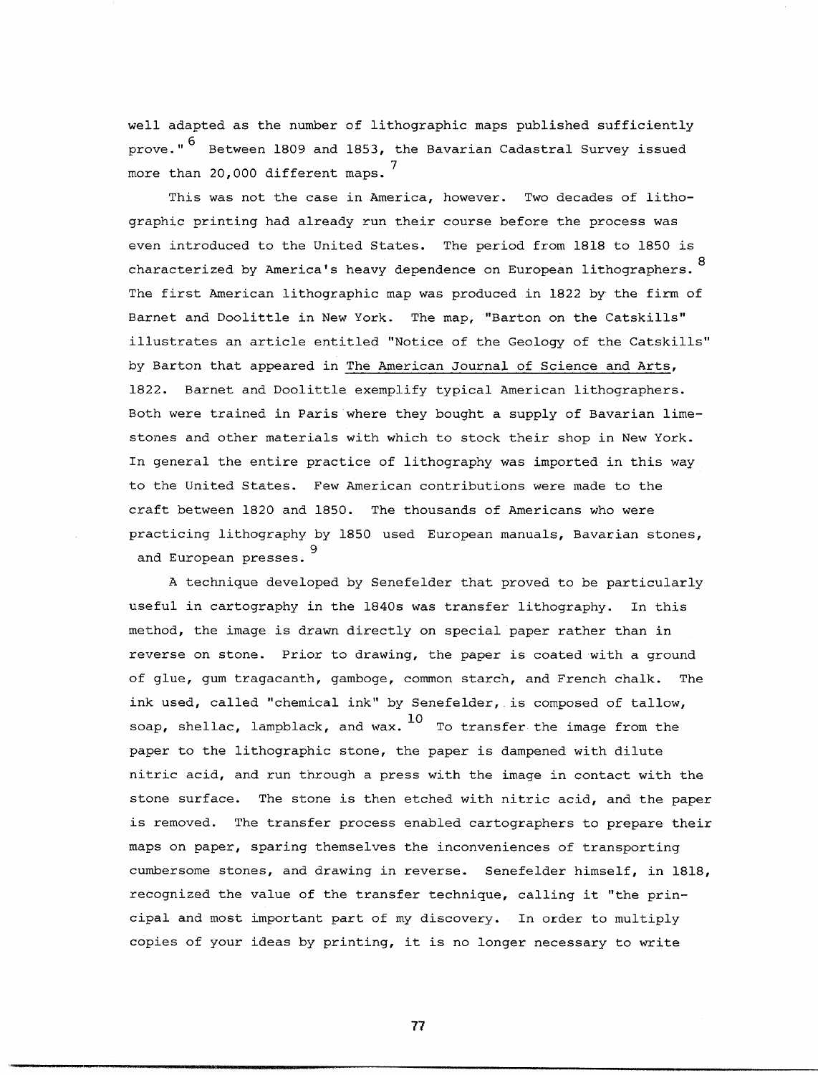well adapted as the number of lithographic maps published sufficiently prove." <sup>6</sup> Between 1809 and 1853, the Bavarian Cadastral Survey issued more than 20,000 different maps.  $^7$ 

This was not the case in America, however. Two decades of lithographic printing had already run their course before the process was even introduced to the United States. The period from 1818 to 1850 is characterized by America's heavy dependence on European lithographers. <sup>8</sup> The first American lithographic map was produced in 1822 by the firm of Barnet and Doolittle in New York. The map, "Barton on the Catskills" illustrates an article entitled "Notice of the Geology of the Catskills" by Barton that appeared in The American Journal of Science and Arts, 1822. Barnet and Doolittle exemplify typical American lithographers. Both were trained in Paris where they bought a supply of Bavarian limestones and other materials with which to stock their shop in New York. In general the entire practice of lithography was imported in this way to the United States. Few American contributions were made to the craft between 1820 and 1850. The thousands of Americans who were practicing lithography by 1850 used European manuals, Bavarian stones, <sup>9</sup>and European presses.

A technique developed by Senefelder that proved to be particularly useful in cartography in the 1840s was transfer lithography. In this method, the image is drawn directly on special paper rather than in reverse on stone. Prior to drawing, the paper is coated with a ground of glue, gum tragacanth, gamboge, common starch, and French chalk. The ink used, called "chemical ink" by Senefelder, is composed of tallow, soap, shellac, lampblack, and wax.  $^{10}$  To transfer the image from the paper to the lithographic stone, the paper is dampened with dilute nitric acid, and run through a press with the image in contact with the stone surface. The stone is then etched with nitric acid, and the paper is removed. The transfer process enabled cartographers to prepare their maps on paper, sparing themselves the inconveniences of transporting cumbersome stones, and drawing in reverse. Senefelder himself, in 1818, recognized the value of the transfer technique, calling it "the principal and most important part of my discovery. **In** order to multiply copies of your ideas by printing, it is no longer necessary to write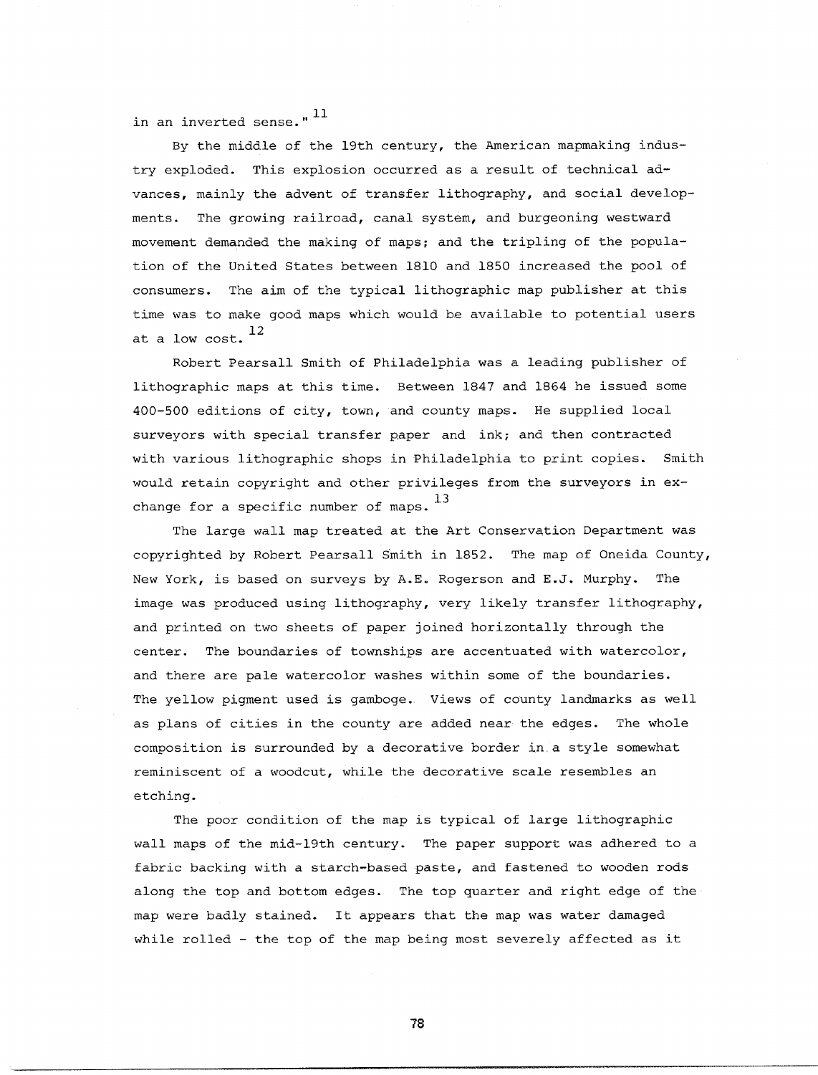in an inverted sense." 11

By the middle of the 19th century, the American mapmaking industry exploded. This explosion occurred as a result of technical advances, mainly the advent of transfer lithography, and social developments. The growing railroad, canal system, and burgeoning westward movement demanded the making of maps; and the tripling of the population of the United States between 1810 and 1850 increased the pool of consumers. The aim of the typical lithographic map publisher at this time was to make good maps which would be available to potential users at a low cost.  $^{12}$ 

Robert Pearsall Smith of Philadelphia was a leading publisher of lithographic maps at this time. Between 1847 and 1864 he issued some 400-500 editions of city, town, and county maps. He supplied local surveyors with special transfer paper and ink; and then contracted with various lithographic shops in Philadelphia to print copies. Smith would retain copyright and other privileges from the surveyors in exchange for a specific number of maps.  $^{13}$ 

The large wall map treated at the Art Conservation Department was copyrighted by Robert Pearsall Smith in 1852. The map of Oneida County, New York, is based on surveys by A.E. Rogerson and E.J. Murphy. The image was produced using lithography, very likely transfer lithography, and printed on two sheets of paper joined horizontally through the center. The boundaries of townships are accentuated with watercolor, and there are pale watercolor washes within some of the boundaries. The yellow pigment used is gamboge. Views of county landmarks as well as plans of cities in the county are added near the edges. The whole composition is surrounded by a decorative border in a style somewhat reminiscent of a woodcut, while the decorative scale resembles an etching.

The poor condition of the map is typical of large lithographic wall maps of the mid-19th century. The paper support was adhered to a fabric backing with a starch-based paste, and fastened to wooden rods along the top and bottom edges. The top quarter and right edge of the map were badly stained. It appears that the map was water damaged while rolled - the top of the map being most severely affected as it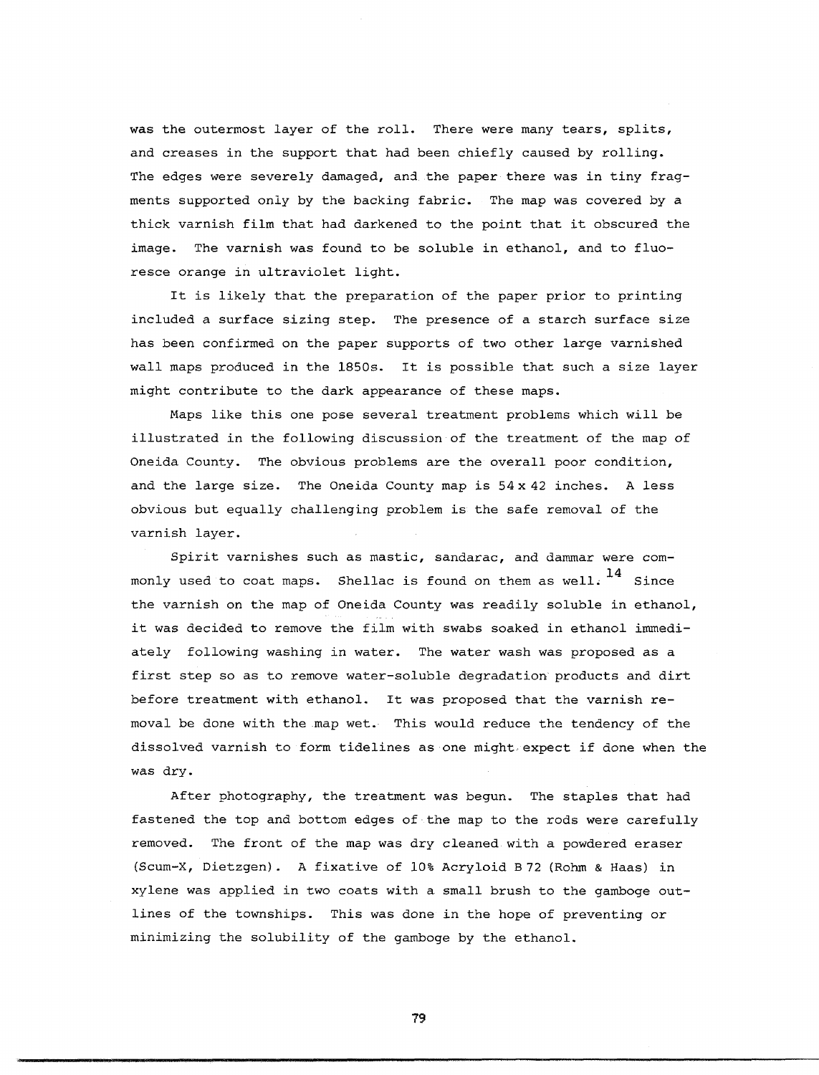was the outermost layer of the roll. There were many tears, splits, and creases in the support that had been chiefly caused by rolling. The edges were severely damaged, and the paper there was in tiny fragments supported only by the backing fabric. The map was covered by a thick varnish film that had darkened to the point that it obscured the image. The varnish was found to be soluble in ethanol, and to fluoresce orange in ultraviolet light.

It is likely that the preparation of the paper prior to printing included a surface sizing step. The presence of a starch surface size has been confirmed on the paper supports of two other large varnished wall maps produced in the 1850s. It is possible that such a size layer might contribute to the dark appearance of these maps.

Maps like this one pose several treatment problems which will be illustrated in the following discussion of the treatment of the map of Oneida County. The obvious problems are the overall poor condition, and the large size. The Oneida County map is  $54 \times 42$  inches. A less obvious but equally challenging problem is the safe removal of the varnish layer.

Spirit varnishes such as mastic, sandarac, and dammar were commonly used to coat maps. Shellac is found on them as well.  $^{14}$  Since the varnish on the map of Oneida County was readily soluble in ethanol, it was decided to remove the film with swabs soaked in ethanol immediately following washing in water. The water wash was proposed as a first step so as to remove water-soluble degradation products and dirt before treatment with ethanol. It was proposed that the varnish removal be done with the map wet. This would reduce the tendency of the dissolved varnish to form tidelines as one might,expect if done when the was dry.

After photography, the treatment was begun. The staples that had fastened the top and bottom edges of the map to the rods were carefully removed. The front of the map was dry cleaned with a powdered eraser (Scum-X, Dietzgen). A fixative of 10% Acryloid B72 (Rohm & Haas) in xylene was applied in two coats with a small brush to the gamboge outlines of the townships. This was done in the hope of preventing or minimizing the solubility of the gamboge by the ethanol.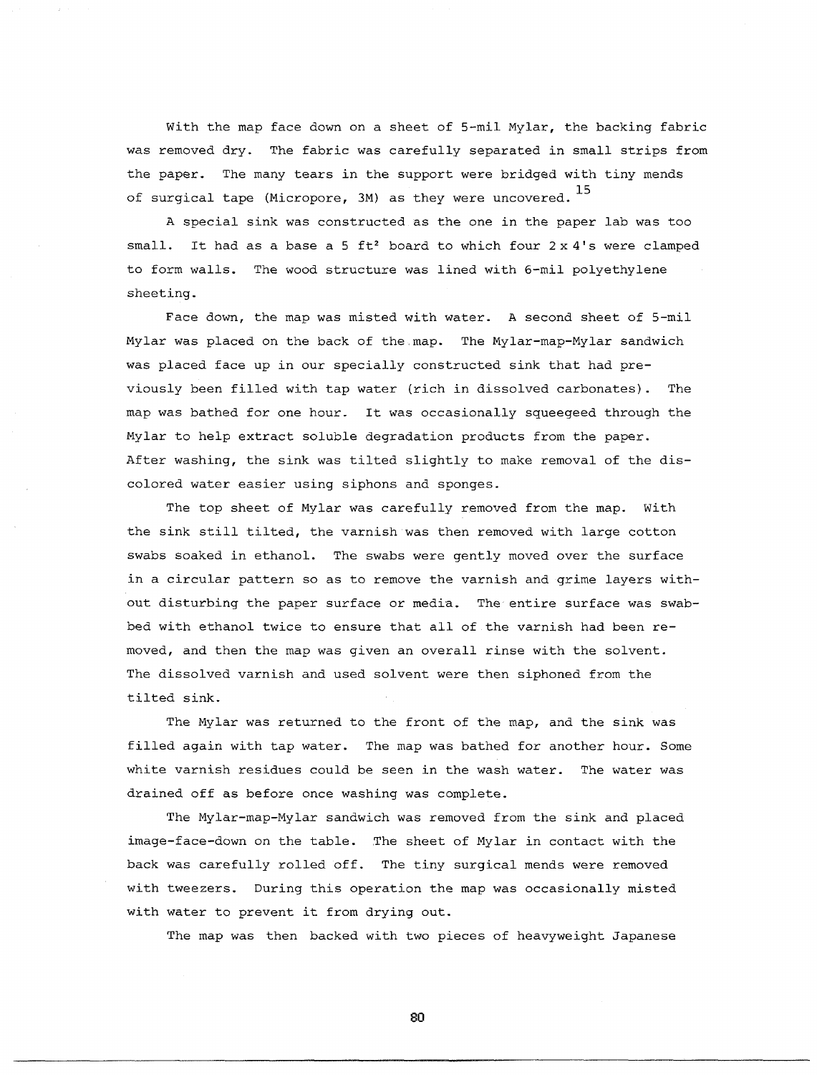With the map face down on a sheet of 5-mil Mylar, the backing fabric was removed dry. The fabric was carefully separated in small strips from the paper. The many tears in the support were bridged with tiny mends of surgical tape (Micropore, 3M) as they were uncovered.  $^{15}$ 

A special sink was constructed as the one in the paper lab was too small. It had as a base a 5 ft<sup>2</sup> board to which four  $2 \times 4'$ s were clamped to form walls. The wood structure was lined with 6-mil polyethylene sheeting.

Face down, the map was misted with water. A second sheet of 5-mil Mylar was placed on the back of the map. The Mylar-map-Mylar sandwich was placed face up in our specially constructed sink that had previously been filled with tap water (rich in dissolved carbonates). The map was bathed for one hour. It was occasionally squeegeed through the Mylar to help extract soluble degradation products from the paper. After washing, the sink was tilted slightly to make removal of the discolored water easier using siphons and sponges.

The top sheet of Mylar was carefully removed from the map. With the sink still tilted, the varnish was then removed with large cotton swabs soaked in ethanol. The swabs were gently moved over the surface in a circular pattern so as to remove the varnish and grime layers without disturbing the paper surface or media. The entire surface was swabbed with ethanol twice to ensure that all of the varnish had been removed, and then the map was given an overall rinse with the solvent. The dissolved varnish and used solvent were then siphoned from the tilted sink.

The Mylar was returned to the front of the map, and the sink was filled again with tap water. The map was bathed for another hour. Some white varnish residues could be seen in the wash water. The water was drained off as before once washing was complete.

The Mylar-map-Mylar sandwich was removed from the sink and placed image-face-down on the table. The sheet of Mylar in contact with the back was carefully rolled off. The tiny surgical mends were removed with tweezers. During this operation the map was occasionally misted with water to prevent it from drying out.

The map was then backed with two pieces of heavyweight Japanese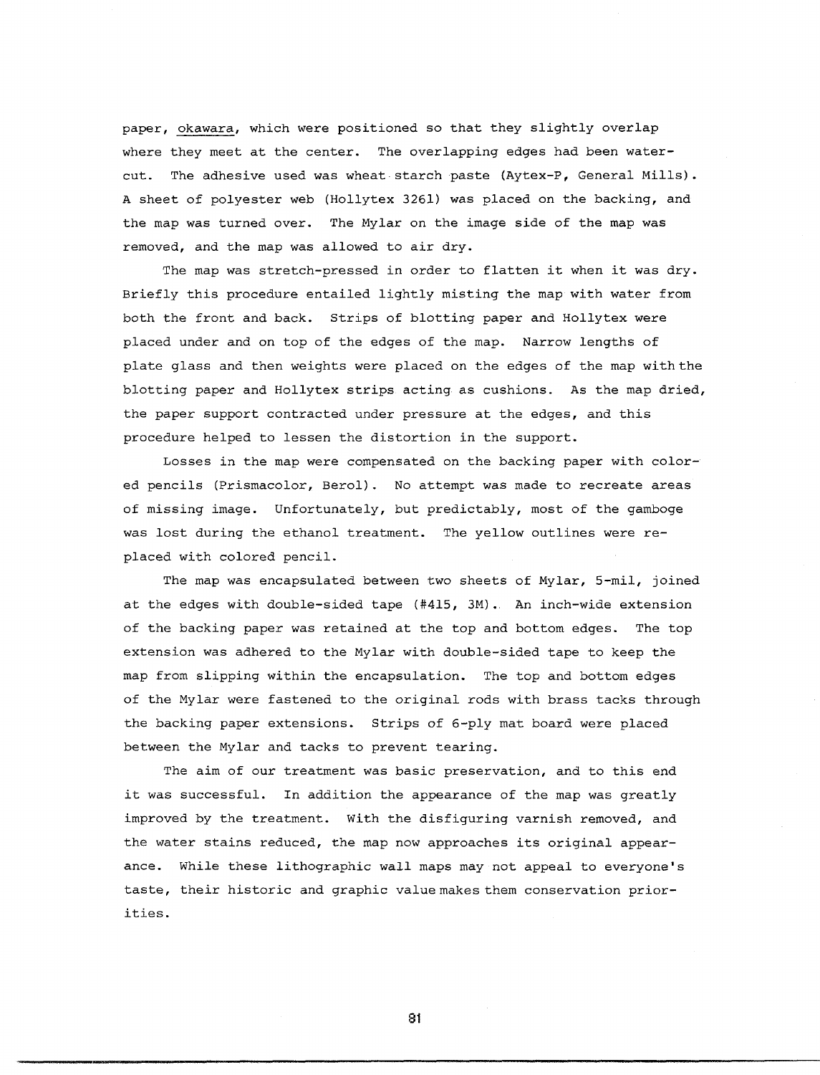paper, okawara, which were positioned so that they slightly overlap where they meet at the center. The overlapping edges had been watercut. The adhesive used was wheat starch paste (Aytex-P, General Mills). A sheet of polyester web (Hollytex 3261) was placed on the backing, and the map was turned over. The Mylar on the image side of the map was removed, and the map was allowed to air dry.

The map was stretch-pressed in order to flatten it when it was dry. Briefly this procedure entailed lightly misting the map with water from both the front and back. Strips of blotting paper and Hollytex were placed under and on top of the edges of the map. Narrow lengths of plate glass and then weights were placed on the edges of the map withthe blotting paper and Hollytex strips acting as cushions. As the map dried, the paper support contracted under pressure at the edges, and this procedure helped to lessen the distortion in the support.

Losses in the map were compensated on the backing paper with colored pencils (Prismacolor, Berol). No attempt was made to recreate areas of missing image. Unfortunately, but predictably, most of the gamboge was lost during the ethanol treatment. The yellow outlines were replaced with colored pencil.

The map was encapsulated between two sheets of Mylar, 5-mil, joined at the edges with double-sided tape (#415, 3M). An inch-wide extension of the backing paper was retained at the top and bottom edges. The top extension was adhered to the Mylar with double-sided tape to keep the map from slipping within the encapsulation. The top and bottom edges of the Mylar were fastened to the original rods with brass tacks through the backing paper extensions. Strips of 6-ply mat board were placed between the Mylar and tacks to prevent tearing.

The aim of our treatment was basic preservation, and to this end it was successful. In addition the appearance of the map was greatly improved by the treatment. With the disfiguring varnish removed, and the water stains reduced, the map now approaches its original appearance. While these lithographic wall maps may not appeal to everyone's taste, their historic and graphic valuemakesthem conservation priorities.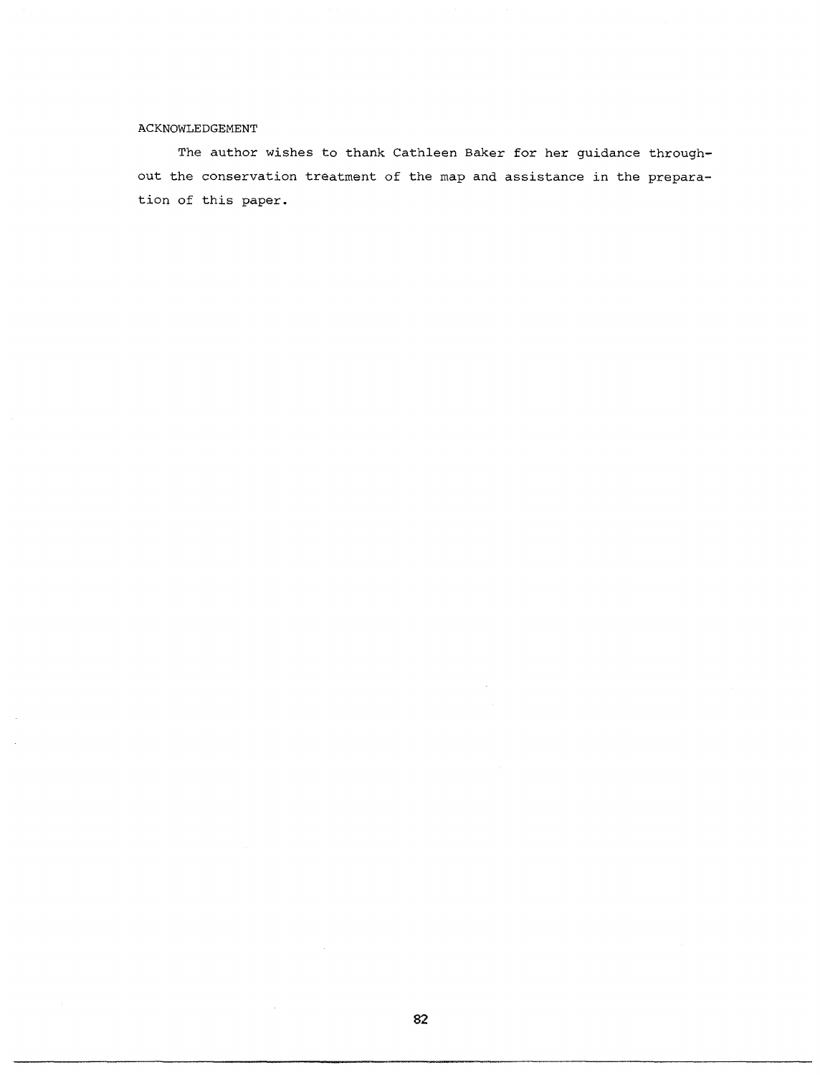## ACKNOWLEDGEMENT

The author wishes to thank Cathleen Baker for her guidance throughout the conservation treatment of the map and assistance *in* the preparation of this paper.